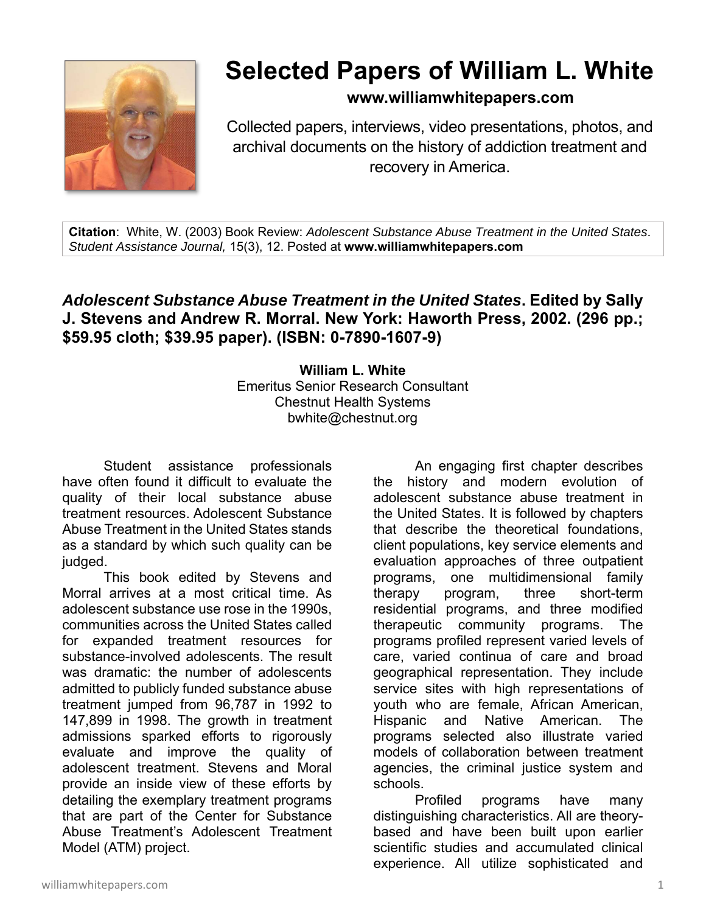

## **Selected Papers of William L. White**

**www.williamwhitepapers.com**

Collected papers, interviews, video presentations, photos, and archival documents on the history of addiction treatment and recovery in America.

**Citation**: White, W. (2003) Book Review: *Adolescent Substance Abuse Treatment in the United States*. *Student Assistance Journal,* 15(3), 12. Posted at **www.williamwhitepapers.com** 

## *Adolescent Substance Abuse Treatment in the United States***. Edited by Sally J. Stevens and Andrew R. Morral. New York: Haworth Press, 2002. (296 pp.; \$59.95 cloth; \$39.95 paper). (ISBN: 0-7890-1607-9)**

**William L. White**  Emeritus Senior Research Consultant Chestnut Health Systems bwhite@chestnut.org

Student assistance professionals have often found it difficult to evaluate the quality of their local substance abuse treatment resources. Adolescent Substance Abuse Treatment in the United States stands as a standard by which such quality can be judged.

This book edited by Stevens and Morral arrives at a most critical time. As adolescent substance use rose in the 1990s, communities across the United States called for expanded treatment resources for substance-involved adolescents. The result was dramatic: the number of adolescents admitted to publicly funded substance abuse treatment jumped from 96,787 in 1992 to 147,899 in 1998. The growth in treatment admissions sparked efforts to rigorously evaluate and improve the quality of adolescent treatment. Stevens and Moral provide an inside view of these efforts by detailing the exemplary treatment programs that are part of the Center for Substance Abuse Treatment's Adolescent Treatment Model (ATM) project.

 An engaging first chapter describes the history and modern evolution of adolescent substance abuse treatment in the United States. It is followed by chapters that describe the theoretical foundations, client populations, key service elements and evaluation approaches of three outpatient programs, one multidimensional family therapy program, three short-term residential programs, and three modified therapeutic community programs. The programs profiled represent varied levels of care, varied continua of care and broad geographical representation. They include service sites with high representations of youth who are female, African American, Hispanic and Native American. The programs selected also illustrate varied models of collaboration between treatment agencies, the criminal justice system and schools.

 Profiled programs have many distinguishing characteristics. All are theorybased and have been built upon earlier scientific studies and accumulated clinical experience. All utilize sophisticated and